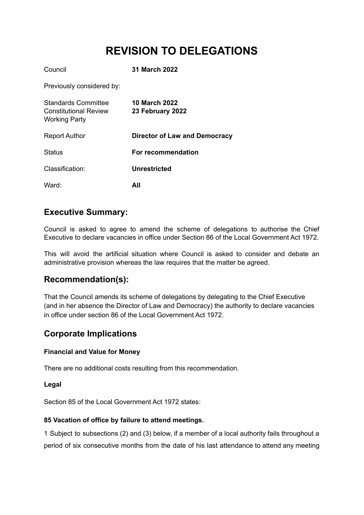# **REVISION TO DELEGATIONS**

| Council                                                                            | <b>31 March 2022</b>              |
|------------------------------------------------------------------------------------|-----------------------------------|
| Previously considered by:                                                          |                                   |
| <b>Standards Committee</b><br><b>Constitutional Review</b><br><b>Working Party</b> | 10 March 2022<br>23 February 2022 |
| <b>Report Author</b>                                                               | Director of Law and Democracy     |
| <b>Status</b>                                                                      | For recommendation                |
| Classification:                                                                    | Unrestricted                      |
| Ward:                                                                              | All                               |

# **Executive Summary:**

Council is asked to agree to amend the scheme of delegations to authorise the Chief Executive to declare vacancies in office under Section 86 of the Local Government Act 1972.

This will avoid the artificial situation where Council is asked to consider and debate an administrative provision whereas the law requires that the matter be agreed.

# **Recommendation(s):**

That the Council amends its scheme of delegations by delegating to the Chief Executive (and in her absence the Director of Law and Democracy) the authority to declare vacancies in office under section 86 of the Local Government Act 1972.

# **Corporate Implications**

#### **Financial and Value for Money**

There are no additional costs resulting from this recommendation.

#### **Legal**

Section 85 of the Local Government Act 1972 states:

#### **85 Vacation of office by failure to attend meetings.**

1 Subject to subsections (2) and (3) below, if a member of a local authority fails throughout a period of six consecutive months from the date of his last attendance to attend any meeting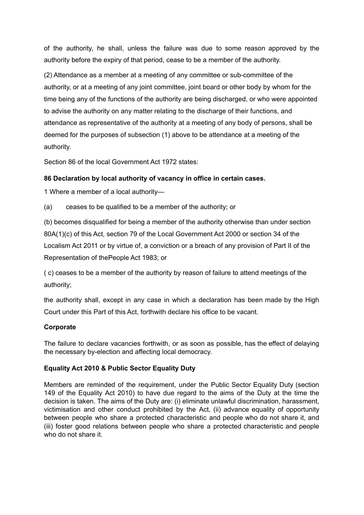of the authority, he shall, unless the failure was due to some reason approved by the authority before the expiry of that period, cease to be a member of the authority.

(2) Attendance as a member at a meeting of any committee or sub-committee of the authority, or at a meeting of any joint committee, joint board or other body by whom for the time being any of the functions of the authority are being discharged, or who were appointed to advise the authority on any matter relating to the discharge of their functions, and attendance as representative of the authority at a meeting of any body of persons, shall be deemed for the purposes of subsection (1) above to be attendance at a meeting of the authority.

Section 86 of the local Government Act 1972 states:

## **86 Declaration by local authority of vacancy in office in certain cases.**

1 Where a member of a local authority—

(a) ceases to be qualified to be a member of the authority; or

(b) becomes disqualified for being a member of the authority otherwise than under section 80A(1)(c) of this Act, section 79 of the Local Government Act 2000 or section 34 of the Localism Act 2011 or by virtue of, a conviction or a breach of any provision of Part II of the Representation of thePeople Act 1983; or

( c) ceases to be a member of the authority by reason of failure to attend meetings of the authority;

the authority shall, except in any case in which a declaration has been made by the High Court under this Part of this Act, forthwith declare his office to be vacant.

#### **Corporate**

The failure to declare vacancies forthwith, or as soon as possible, has the effect of delaying the necessary by-election and affecting local democracy.

## **Equality Act 2010 & Public Sector Equality Duty**

Members are reminded of the requirement, under the Public Sector Equality Duty (section 149 of the Equality Act 2010) to have due regard to the aims of the Duty at the time the decision is taken. The aims of the Duty are: (i) eliminate unlawful discrimination, harassment, victimisation and other conduct prohibited by the Act, (ii) advance equality of opportunity between people who share a protected characteristic and people who do not share it, and (iii) foster good relations between people who share a protected characteristic and people who do not share it.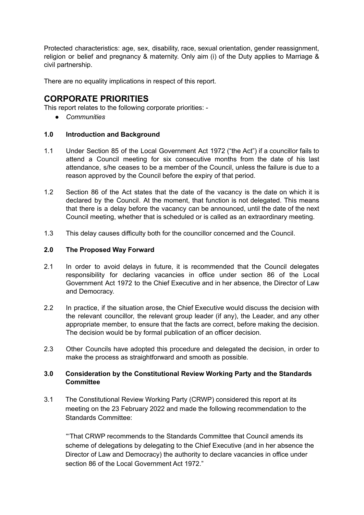Protected characteristics: age, sex, disability, race, sexual orientation, gender reassignment, religion or belief and pregnancy & maternity. Only aim (i) of the Duty applies to Marriage & civil partnership.

There are no equality implications in respect of this report.

# **CORPORATE PRIORITIES**

This report relates to the following corporate priorities: -

*● Communities*

## **1.0 Introduction and Background**

- 1.1 Under Section 85 of the Local Government Act 1972 ("the Act") if a councillor fails to attend a Council meeting for six consecutive months from the date of his last attendance, s/he ceases to be a member of the Council, unless the failure is due to a reason approved by the Council before the expiry of that period.
- 1.2 Section 86 of the Act states that the date of the vacancy is the date on which it is declared by the Council. At the moment, that function is not delegated. This means that there is a delay before the vacancy can be announced, until the date of the next Council meeting, whether that is scheduled or is called as an extraordinary meeting.
- 1.3 This delay causes difficulty both for the councillor concerned and the Council.

#### **2.0 The Proposed Way Forward**

- 2.1 In order to avoid delays in future, it is recommended that the Council delegates responsibility for declaring vacancies in office under section 86 of the Local Government Act 1972 to the Chief Executive and in her absence, the Director of Law and Democracy.
- 2.2 In practice, if the situation arose, the Chief Executive would discuss the decision with the relevant councillor, the relevant group leader (if any), the Leader, and any other appropriate member, to ensure that the facts are correct, before making the decision. The decision would be by formal publication of an officer decision.
- 2.3 Other Councils have adopted this procedure and delegated the decision, in order to make the process as straightforward and smooth as possible.

## **3.0 Consideration by the Constitutional Review Working Party and the Standards Committee**

3.1 The Constitutional Review Working Party (CRWP) considered this report at its meeting on the 23 February 2022 and made the following recommendation to the Standards Committee:

"'That CRWP recommends to the Standards Committee that Council amends its scheme of delegations by delegating to the Chief Executive (and in her absence the Director of Law and Democracy) the authority to declare vacancies in office under section 86 of the Local Government Act 1972."